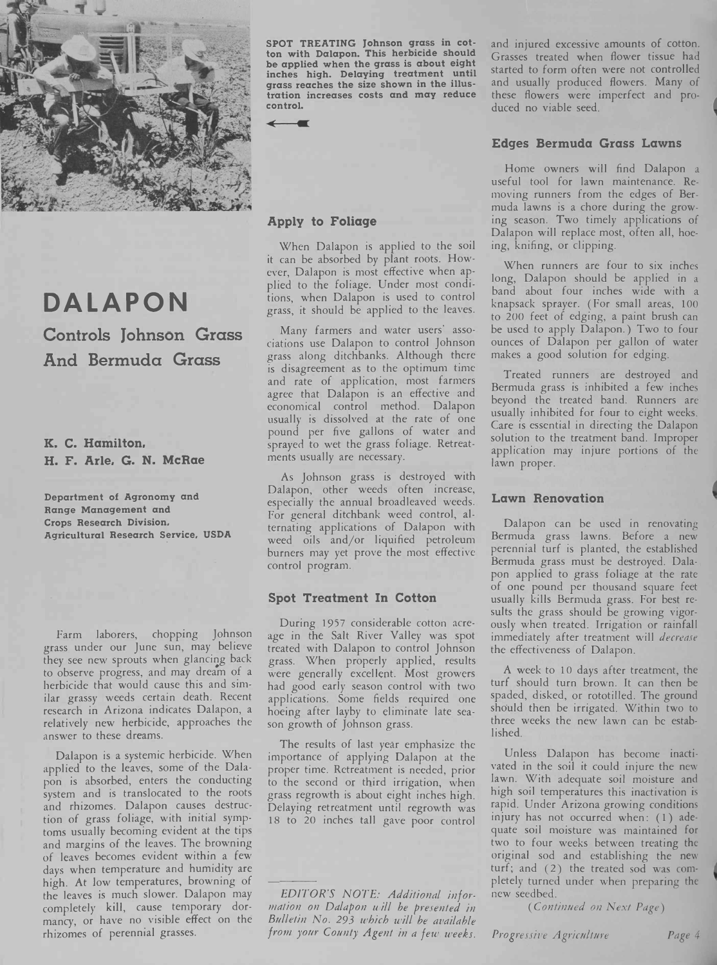

SPOT TREATING Johnson grass in cotton with Dalapon. This herbicide should be applied when the grass is about eight inches high. Delaying treatment until grass reaches the size shown in the illustration increases costs and may reduce control.

 $\leftarrow$ 

#### Apply to Foliage

When Dalapon is applied to the soil it can be absorbed by plant roots. However, Dalapon is most effective when applied to the foliage. Under most conditions, when Dalapon is used to control grass, it should be applied to the leaves.

Many farmers and water users' associations use Dalapon to control Johnson grass along ditchbanks. Although there is disagreement as to the optimum time and rate of application, most farmers agree that Dalapon is an effective and economical control method. Dalapon usually is dissolved at the rate of one pound per five gallons of water and sprayed to wet the grass foliage. Retreatments usually are necessary.

As Johnson grass is destroyed with Dalapon, other weeds often increase, especially the annual broadleaved weeds. For general ditchbank weed control, alternating applications of Dalapon with weed oils and/or liquified petroleum burners may yet prove the most effective control program.

#### Spot Treatment In Cotton

During 1957 considerable cotton acreage in the Salt River Valley was spot treated with Dalapon to control Johnson grass. When properly applied, results were generally excellent. Most growers had good early season control with two applications. Some fields required one hoeing after layby to eliminate late season growth of Johnson grass.

The results of last year emphasize the importance of applying Dalapon at the proper time. Retreatment is needed, prior to the second or third irrigation, when grass regrowth is about eight inches high. Delaying retreatment until regrowth was 18 to 20 inches tall gave poor control

EDITOR'S NOTE: Additional information on Dalapon will be presented in Bulletin No. 293 which will be available from your County Agent in a few weeks.

and injured excessive amounts of cotton. Grasses treated when flower tissue had started to form often were not controlled and usually produced flowers. Many of these flowers were imperfect and produced no viable seed.

#### Edges Bermuda Grass Lawns

Home owners will find Dalapon a useful tool for lawn maintenance. Removing runners from the edges of Bermuda lawns is a chore during the growing season. Two timely applications of Dalapon will replace most, often all, hoeing, knifing, or clipping.

When runners are four to six inches long, Dalapon should be applied in a band about four inches wide with <sup>a</sup> knapsack sprayer. (For small areas, 100 to 200 feet of edging, a paint brush can be used to apply Dalapon.) Two to four ounces of Dalapon per gallon of water makes a good solution for edging.

Treated runners are destroyed and Bermuda grass is inhibited a few inches beyond the treated band. Runners are usually inhibited for four to eight weeks. Care is essential in directing the Dalapon solution to the treatment band. Improper application may injure portions of the lawn proper.

#### Lawn Renovation

Dalapon can be used in renovating Bermuda grass lawns. Before a new perennial turf is planted, the established Bermuda grass must be destroyed. Dalapon applied to grass foliage at the rate of one pound per thousand square feet usually kills Bermuda grass. For best results the grass should be growing vigorously when treated. Irrigation or rainfall immediately after treatment will decrease the effectiveness of Dalapon.

A week to 10 days after treatment, the turf should turn brown. It can then be spaded, disked, or rototilled. The ground should then be irrigated. Within two to three weeks the new lawn can be established.

Unless Dalapon has become inactivated in the soil it could injure the new lawn. With adequate soil moisture and high soil temperatures this inactivation is rapid. Under Arizona growing conditions injury has not occurred when:  $(1)$  adequate soil moisture was maintained for two to four weeks between treating the original sod and establishing the new turf; and (2) the treated sod was completely turned under when preparing the new seedbed.

( Continued on Next Page)

Progressive Agriculture Page 4

1

## DALAPON Controls Johnson Grass

And Bermuda Grass

K. C. Hamilton, H. F. Arle, G. N. McRae

Department of Agronomy and Range Management and Crops Research Division, Agricultural Research Service, USDA

Farm laborers, chopping Johnson grass under our June sun, may believe they see new sprouts when glancing back to observe progress, and may dream of a herbicide that would cause this and similar grassy weeds certain death. Recent research in Arizona indicates Dalapon, a relatively new herbicide, approaches the answer to these dreams.

Dalapon is a systemic herbicide. When applied to the leaves, some of the Dalapon is absorbed, enters the conducting system and is translocated to the roots and rhizomes. Dalapon causes destruction of grass foliage, with initial symptoms usually becoming evident at the tips and margins of the leaves. The browning of leaves becomes evident within a few days when temperature and humidity are high. At low temperatures, browning of the leaves is much slower. Dalapon may completely kill, cause temporary dormancy, or have no visible effect on the rhizomes of perennial grasses.